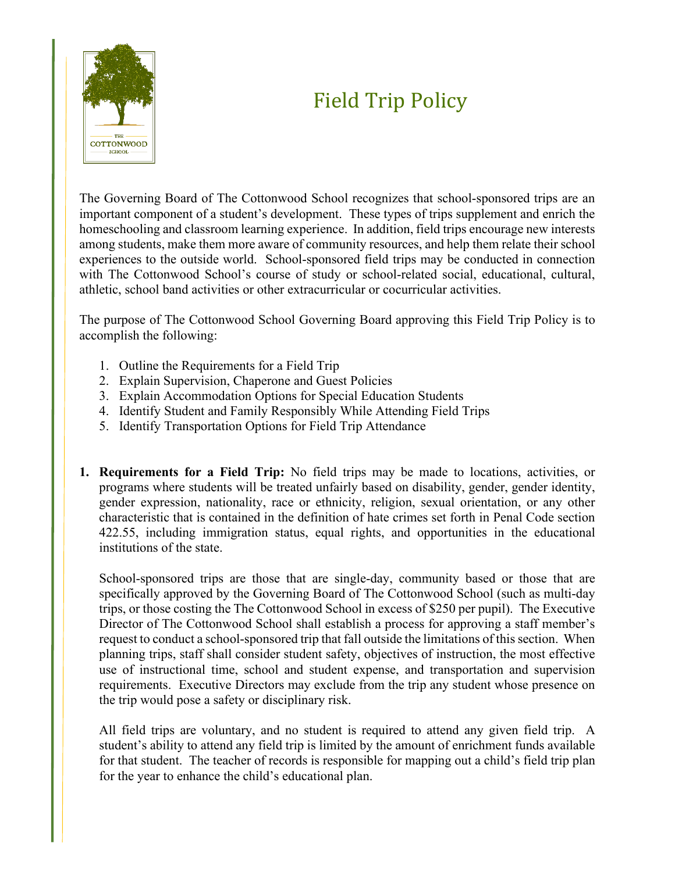## Field Trip Policy



The Governing Board of The Cottonwood School recognizes that school-sponsored trips are an important component of a student's development. These types of trips supplement and enrich the homeschooling and classroom learning experience. In addition, field trips encourage new interests among students, make them more aware of community resources, and help them relate their school experiences to the outside world. School-sponsored field trips may be conducted in connection with The Cottonwood School's course of study or school-related social, educational, cultural, athletic, school band activities or other extracurricular or cocurricular activities.

The purpose of The Cottonwood School Governing Board approving this Field Trip Policy is to accomplish the following:

- 1. Outline the Requirements for a Field Trip
- 2. Explain Supervision, Chaperone and Guest Policies
- 3. Explain Accommodation Options for Special Education Students
- 4. Identify Student and Family Responsibly While Attending Field Trips
- 5. Identify Transportation Options for Field Trip Attendance
- **1. Requirements for a Field Trip:** No field trips may be made to locations, activities, or programs where students will be treated unfairly based on disability, gender, gender identity, gender expression, nationality, race or ethnicity, religion, sexual orientation, or any other characteristic that is contained in the definition of hate crimes set forth in Penal Code section 422.55, including immigration status, equal rights, and opportunities in the educational institutions of the state.

School-sponsored trips are those that are single-day, community based or those that are specifically approved by the Governing Board of The Cottonwood School (such as multi-day trips, or those costing the The Cottonwood School in excess of \$250 per pupil). The Executive Director of The Cottonwood School shall establish a process for approving a staff member's request to conduct a school-sponsored trip that fall outside the limitations of this section. When planning trips, staff shall consider student safety, objectives of instruction, the most effective use of instructional time, school and student expense, and transportation and supervision requirements. Executive Directors may exclude from the trip any student whose presence on the trip would pose a safety or disciplinary risk.

All field trips are voluntary, and no student is required to attend any given field trip. A student's ability to attend any field trip is limited by the amount of enrichment funds available for that student. The teacher of records is responsible for mapping out a child's field trip plan for the year to enhance the child's educational plan.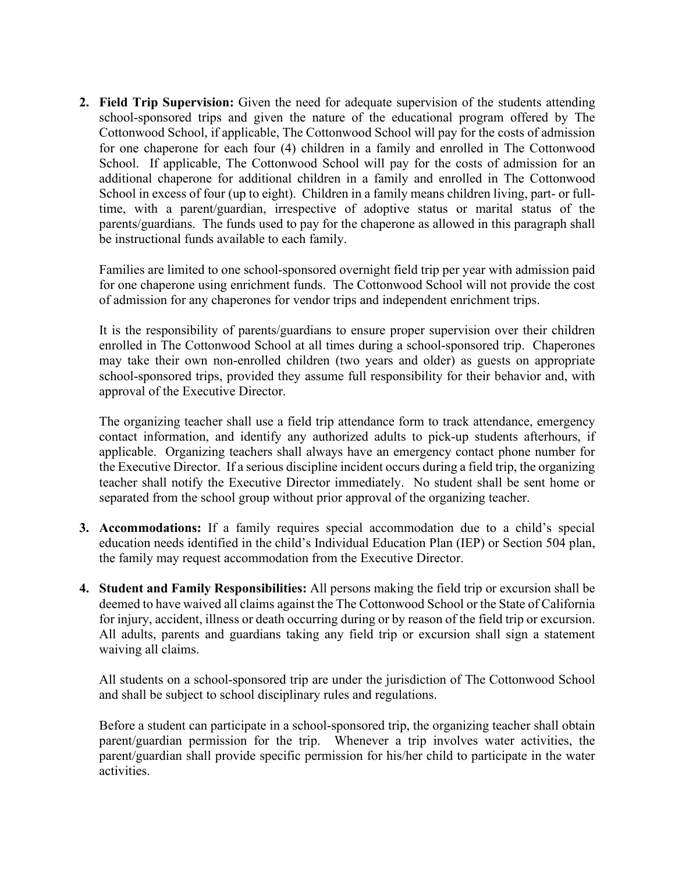**2. Field Trip Supervision:** Given the need for adequate supervision of the students attending school-sponsored trips and given the nature of the educational program offered by The Cottonwood School, if applicable, The Cottonwood School will pay for the costs of admission for one chaperone for each four (4) children in a family and enrolled in The Cottonwood School. If applicable, The Cottonwood School will pay for the costs of admission for an additional chaperone for additional children in a family and enrolled in The Cottonwood School in excess of four (up to eight). Children in a family means children living, part- or fulltime, with a parent/guardian, irrespective of adoptive status or marital status of the parents/guardians. The funds used to pay for the chaperone as allowed in this paragraph shall be instructional funds available to each family.

Families are limited to one school-sponsored overnight field trip per year with admission paid for one chaperone using enrichment funds. The Cottonwood School will not provide the cost of admission for any chaperones for vendor trips and independent enrichment trips.

It is the responsibility of parents/guardians to ensure proper supervision over their children enrolled in The Cottonwood School at all times during a school-sponsored trip. Chaperones may take their own non-enrolled children (two years and older) as guests on appropriate school-sponsored trips, provided they assume full responsibility for their behavior and, with approval of the Executive Director.

The organizing teacher shall use a field trip attendance form to track attendance, emergency contact information, and identify any authorized adults to pick-up students afterhours, if applicable. Organizing teachers shall always have an emergency contact phone number for the Executive Director. If a serious discipline incident occurs during a field trip, the organizing teacher shall notify the Executive Director immediately. No student shall be sent home or separated from the school group without prior approval of the organizing teacher.

- **3. Accommodations:** If a family requires special accommodation due to a child's special education needs identified in the child's Individual Education Plan (IEP) or Section 504 plan, the family may request accommodation from the Executive Director.
- **4. Student and Family Responsibilities:** All persons making the field trip or excursion shall be deemed to have waived all claims against the The Cottonwood School or the State of California for injury, accident, illness or death occurring during or by reason of the field trip or excursion. All adults, parents and guardians taking any field trip or excursion shall sign a statement waiving all claims.

All students on a school-sponsored trip are under the jurisdiction of The Cottonwood School and shall be subject to school disciplinary rules and regulations.

Before a student can participate in a school-sponsored trip, the organizing teacher shall obtain parent/guardian permission for the trip. Whenever a trip involves water activities, the parent/guardian shall provide specific permission for his/her child to participate in the water activities.